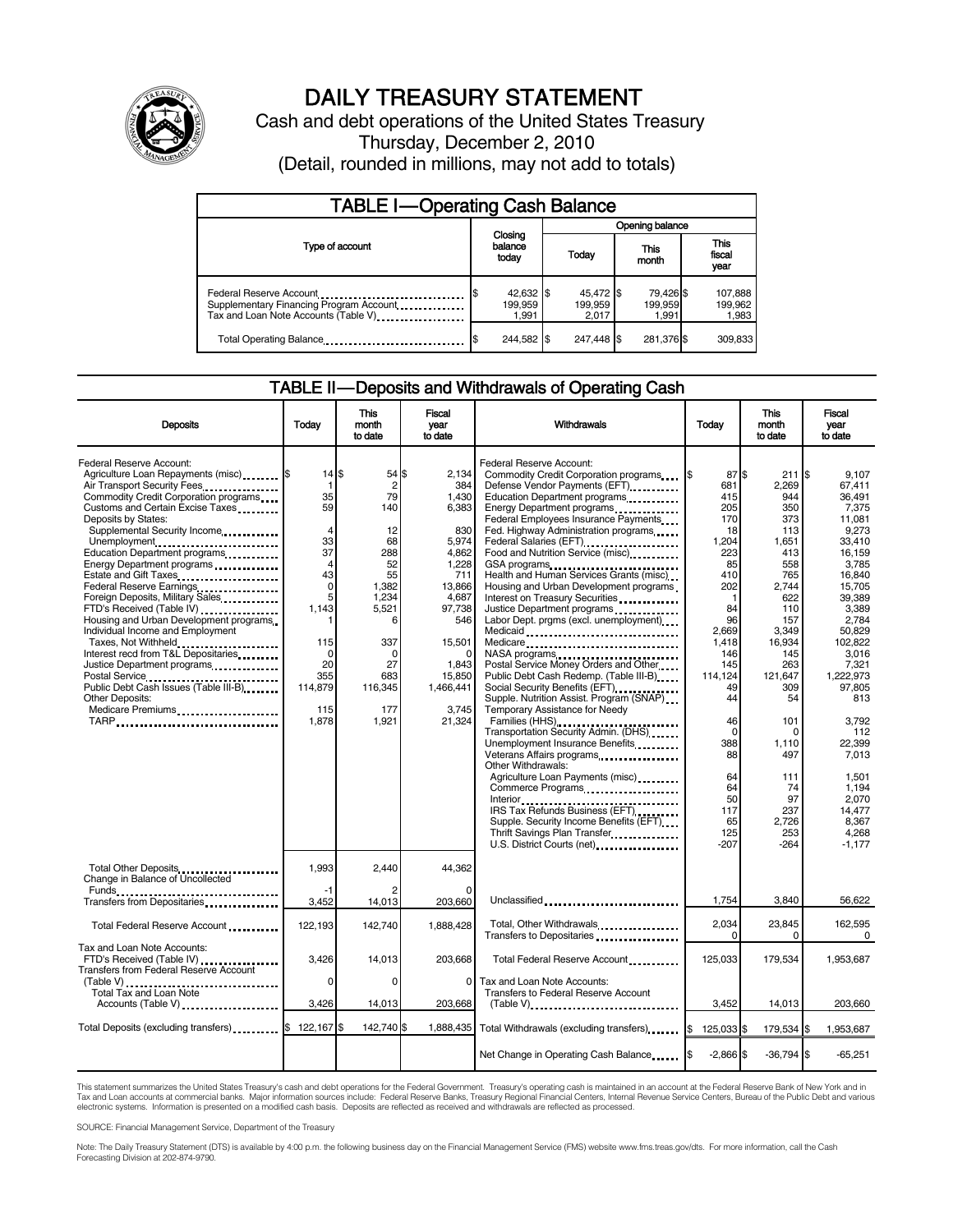

# DAILY TREASURY STATEMENT

Cash and debt operations of the United States Treasury Thursday, December 2, 2010 (Detail, rounded in millions, may not add to totals)

| <b>TABLE I-Operating Cash Balance</b>                                                                      |                               |                               |                               |                             |  |  |
|------------------------------------------------------------------------------------------------------------|-------------------------------|-------------------------------|-------------------------------|-----------------------------|--|--|
|                                                                                                            |                               |                               | Opening balance               |                             |  |  |
| Type of account                                                                                            | Closing<br>balance<br>today   | Today                         | This<br>month                 | This<br>fiscal<br>year      |  |  |
| Federal Reserve Account<br>Supplementary Financing Program Account<br>Tax and Loan Note Accounts (Table V) | 42,632 \$<br>199,959<br>1.991 | 45,472 \$<br>199,959<br>2.017 | 79,426 \$<br>199,959<br>1.991 | 107,888<br>199,962<br>1,983 |  |  |
| Total Operating Balance                                                                                    | 244,582 \$                    | 247.448 \$                    | 281,376 \$                    | 309,833                     |  |  |

#### TABLE II — Deposits and Withdrawals of Operating Cash

| <b>Deposits</b>                                                                                                                                                                                                                                                                                                                                                                                                                                                                                                                                                                                                                                                                                                                     | Todav                                                                                                                                                            | This<br>month<br>to date                                                                                                                                       | Fiscal<br>year<br>to date                                                                                                                                                | <b>Withdrawals</b>                                                                                                                                                                                                                                                                                                                                                                                                                                                                                                                                                                                                                                                                                                                                                                                                                                                                                                                                                                                                                                                                                                                       | Today                                                                                                                                                                                                                                           | <b>This</b><br>month<br>to date                                                                                                                                                                                                               | Fiscal<br>vear<br>to date                                                                                                                                                                                                                                                                                            |
|-------------------------------------------------------------------------------------------------------------------------------------------------------------------------------------------------------------------------------------------------------------------------------------------------------------------------------------------------------------------------------------------------------------------------------------------------------------------------------------------------------------------------------------------------------------------------------------------------------------------------------------------------------------------------------------------------------------------------------------|------------------------------------------------------------------------------------------------------------------------------------------------------------------|----------------------------------------------------------------------------------------------------------------------------------------------------------------|--------------------------------------------------------------------------------------------------------------------------------------------------------------------------|------------------------------------------------------------------------------------------------------------------------------------------------------------------------------------------------------------------------------------------------------------------------------------------------------------------------------------------------------------------------------------------------------------------------------------------------------------------------------------------------------------------------------------------------------------------------------------------------------------------------------------------------------------------------------------------------------------------------------------------------------------------------------------------------------------------------------------------------------------------------------------------------------------------------------------------------------------------------------------------------------------------------------------------------------------------------------------------------------------------------------------------|-------------------------------------------------------------------------------------------------------------------------------------------------------------------------------------------------------------------------------------------------|-----------------------------------------------------------------------------------------------------------------------------------------------------------------------------------------------------------------------------------------------|----------------------------------------------------------------------------------------------------------------------------------------------------------------------------------------------------------------------------------------------------------------------------------------------------------------------|
| Federal Reserve Account:<br>Agriculture Loan Repayments (misc) [\$<br>Air Transport Security Fees<br>Commodity Credit Corporation programs<br>Customs and Certain Excise Taxes<br>Deposits by States:<br>Supplemental Security Income<br>Unemployment<br>Education Department programs<br>Energy Department programs<br><br>Estate and Gift Taxes<br>Federal Reserve Earnings<br>Foreign Deposits, Military Sales<br>FTD's Received (Table IV) <b>[19] [19]</b><br>Housing and Urban Development programs<br>Individual Income and Employment<br>Taxes, Not Withheld<br>Interest recd from T&L Depositaries<br>Justice Department programs<br>Public Debt Cash Issues (Table III-B)<br>Other Deposits:<br>Medicare Premiums<br>TARP | 14 S<br>$\mathbf 1$<br>35<br>59<br>4<br>33<br>37<br>$\overline{4}$<br>43<br>$\mathbf 0$<br>5<br>1,143<br>115<br>$\Omega$<br>20<br>355<br>114,879<br>115<br>1,878 | 54 \$<br>$\overline{2}$<br>79<br>140<br>12<br>68<br>288<br>52<br>55<br>1,382<br>1,234<br>5,521<br>6<br>337<br>$\Omega$<br>27<br>683<br>116,345<br>177<br>1.921 | 2.134<br>384<br>1,430<br>6,383<br>830<br>5,974<br>4,862<br>1.228<br>711<br>13,866<br>4,687<br>97,738<br>546<br>15,501<br>1,843<br>15.850<br>1,466,441<br>3.745<br>21.324 | Federal Reserve Account:<br>Commodity Credit Corporation programs<br>Defense Vendor Payments (EFT)<br>Education Department programs<br>Energy Department programs<br>Federal Employees Insurance Payments<br>Fed. Highway Administration programs<br>Federal Salaries (EFT)<br>Federal Salaries (EFT)<br>Food and Nutrition Service (misc)<br>GSA programs<br>Health and Human Services Grants (misc)<br>Housing and Urban Development programs<br>Interest on Treasury Securities<br>Justice Department programs<br>Labor Dept. prgms (excl. unemployment)<br>Medicaid<br>Medicare<br>NASA programs<br>Postal Service Money Orders and Other<br>Public Debt Cash Redemp. (Table III-B)<br>Social Security Benefits (EFT)<br>Supple. Nutrition Assist. Program (SNAP)<br>Temporary Assistance for Needy<br>Transportation Security Admin. (DHS)<br>Unemployment Insurance Benefits<br>Veterans Affairs programs<br>Other Withdrawals:<br>Agriculture Loan Payments (misc)<br>Commerce Programs<br>IRS Tax Refunds Business (EFT)<br>Supple. Security Income Benefits (EFT)<br>Thrift Savings Plan Transfer<br>U.S. District Courts (net) | 87 \$<br>681<br>415<br>205<br>170<br>18<br>1,204<br>223<br>85<br>410<br>202<br>$\mathbf 1$<br>84<br>96<br>2,669<br>1.418<br>146<br>145<br>114.124<br>49<br>44<br>46<br>$\mathbf 0$<br>388<br>88<br>64<br>64<br>50<br>117<br>65<br>125<br>$-207$ | 211<br>2.269<br>944<br>350<br>373<br>113<br>1,651<br>413<br>558<br>765<br>2,744<br>622<br>110<br>157<br>3,349<br>16,934<br>145<br>263<br>121.647<br>309<br>54<br>101<br>O<br>1,110<br>497<br>111<br>74<br>97<br>237<br>2,726<br>253<br>$-264$ | 1\$<br>9.107<br>67.411<br>36.491<br>7,375<br>11.081<br>9,273<br>33,410<br>16,159<br>3.785<br>16,840<br>15,705<br>39.389<br>3,389<br>2,784<br>50.829<br>102.822<br>3,016<br>7,321<br>1.222.973<br>97,805<br>813<br>3.792<br>112<br>22.399<br>7.013<br>1.501<br>1.194<br>2.070<br>14.477<br>8.367<br>4.268<br>$-1,177$ |
| Total Other Deposits<br>Change in Balance of Uncollected                                                                                                                                                                                                                                                                                                                                                                                                                                                                                                                                                                                                                                                                            | 1,993                                                                                                                                                            | 2,440                                                                                                                                                          | 44,362                                                                                                                                                                   |                                                                                                                                                                                                                                                                                                                                                                                                                                                                                                                                                                                                                                                                                                                                                                                                                                                                                                                                                                                                                                                                                                                                          |                                                                                                                                                                                                                                                 |                                                                                                                                                                                                                                               |                                                                                                                                                                                                                                                                                                                      |
| Funds<br>Transfers from Depositaries                                                                                                                                                                                                                                                                                                                                                                                                                                                                                                                                                                                                                                                                                                | -1<br>3,452                                                                                                                                                      | 14,013                                                                                                                                                         | O<br>203,660                                                                                                                                                             | Unclassified                                                                                                                                                                                                                                                                                                                                                                                                                                                                                                                                                                                                                                                                                                                                                                                                                                                                                                                                                                                                                                                                                                                             | 1,754                                                                                                                                                                                                                                           | 3,840                                                                                                                                                                                                                                         | 56,622                                                                                                                                                                                                                                                                                                               |
| Total Federal Reserve Account                                                                                                                                                                                                                                                                                                                                                                                                                                                                                                                                                                                                                                                                                                       | 122,193                                                                                                                                                          | 142.740                                                                                                                                                        | 1.888.428                                                                                                                                                                | Total, Other Withdrawals<br>Transfers to Depositaries                                                                                                                                                                                                                                                                                                                                                                                                                                                                                                                                                                                                                                                                                                                                                                                                                                                                                                                                                                                                                                                                                    | 2,034<br>0                                                                                                                                                                                                                                      | 23,845<br>0                                                                                                                                                                                                                                   | 162,595<br>$\Omega$                                                                                                                                                                                                                                                                                                  |
| Tax and Loan Note Accounts:<br>FTD's Received (Table IV)<br>Transfers from Federal Reserve Account                                                                                                                                                                                                                                                                                                                                                                                                                                                                                                                                                                                                                                  | 3.426<br>$\Omega$                                                                                                                                                | 14.013<br>$\Omega$                                                                                                                                             | 203.668<br>$\Omega$                                                                                                                                                      | Total Federal Reserve Account<br>Tax and Loan Note Accounts:                                                                                                                                                                                                                                                                                                                                                                                                                                                                                                                                                                                                                                                                                                                                                                                                                                                                                                                                                                                                                                                                             | 125.033                                                                                                                                                                                                                                         | 179.534                                                                                                                                                                                                                                       | 1.953.687                                                                                                                                                                                                                                                                                                            |
| $(Table V)$<br>Total Tax and Loan Note<br>Accounts (Table V)                                                                                                                                                                                                                                                                                                                                                                                                                                                                                                                                                                                                                                                                        | 3.426                                                                                                                                                            | 14,013                                                                                                                                                         | 203.668                                                                                                                                                                  | <b>Transfers to Federal Reserve Account</b><br>$(Table V)$                                                                                                                                                                                                                                                                                                                                                                                                                                                                                                                                                                                                                                                                                                                                                                                                                                                                                                                                                                                                                                                                               | 3.452                                                                                                                                                                                                                                           | 14.013                                                                                                                                                                                                                                        | 203.660                                                                                                                                                                                                                                                                                                              |
| Total Deposits (excluding transfers) [1000]                                                                                                                                                                                                                                                                                                                                                                                                                                                                                                                                                                                                                                                                                         | 122,167<br>\$                                                                                                                                                    | 142,740 \$                                                                                                                                                     | 1,888,435                                                                                                                                                                | Total Withdrawals (excluding transfers)                                                                                                                                                                                                                                                                                                                                                                                                                                                                                                                                                                                                                                                                                                                                                                                                                                                                                                                                                                                                                                                                                                  | 125,033 \$<br>ß.                                                                                                                                                                                                                                | 179,534 \$                                                                                                                                                                                                                                    | 1,953,687                                                                                                                                                                                                                                                                                                            |
|                                                                                                                                                                                                                                                                                                                                                                                                                                                                                                                                                                                                                                                                                                                                     |                                                                                                                                                                  |                                                                                                                                                                |                                                                                                                                                                          | Net Change in Operating Cash Balance                                                                                                                                                                                                                                                                                                                                                                                                                                                                                                                                                                                                                                                                                                                                                                                                                                                                                                                                                                                                                                                                                                     | $-2,866$ \$                                                                                                                                                                                                                                     | $-36,794$ \$                                                                                                                                                                                                                                  | $-65,251$                                                                                                                                                                                                                                                                                                            |

This statement summarizes the United States Treasury's cash and debt operations for the Federal Government. Treasury's operating cash is maintained in an account at the Federal Reserve Bank of New York and in<br>Tax and Loan electronic systems. Information is presented on a modified cash basis. Deposits are reflected as received and withdrawals are reflected as processed.

SOURCE: Financial Management Service, Department of the Treasury

Note: The Daily Treasury Statement (DTS) is available by 4:00 p.m. the following business day on the Financial Management Service (FMS) website www.fms.treas.gov/dts. For more information, call the Cash Forecasting Division at 202-874-9790.